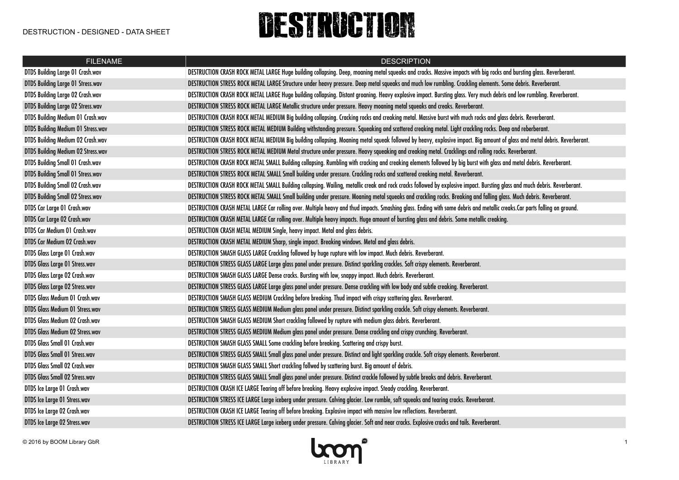## DESTRUCTION

| <b>FILENAME</b>                          | <b>DESCRIPTION</b>                                                                                                                                                         |
|------------------------------------------|----------------------------------------------------------------------------------------------------------------------------------------------------------------------------|
| <b>DTDS Building Large 01 Crash.wav</b>  | DESTRUCTION CRASH ROCK METAL LARGE Huge building collapsing. Deep, moaning metal squeaks and cracks. Massive impacts with big rocks and bursting glass. Reverberant.       |
| <b>DTDS Building Large 01 Stress.wav</b> | DESTRUCTION STRESS ROCK METAL LARGE Structure under heavy pressure. Deep metal squeaks and much low rumbling. Crackling elements. Some debris. Reverberant.                |
| DTDS Building Large 02 Crash.wav         | DESTRUCTION CRASH ROCK METAL LARGE Huge building collapsing. Distant groaning. Heavy explosive impact. Bursting glass. Very much debris and low rumbling. Reverberant.     |
| <b>DTDS Building Large 02 Stress.wav</b> | DESTRUCTION STRESS ROCK METAL LARGE Metallic structure under pressure. Heavy moaning metal squeaks and creaks. Reverberant.                                                |
| DTDS Building Medium 01 Crash.wav        | DESTRUCTION CRASH ROCK METAL MEDIUM Big building collapsing. Cracking rocks and creaking metal. Massive burst with much rocks and glass debris. Reverberant.               |
| DTDS Building Medium 01 Stress.wav       | DESTRUCTION STRESS ROCK METAL MEDIUM Building withstanding pressure. Squeaking and scattered creaking metal. Light crackling rocks. Deep and reberberant.                  |
| DTDS Building Medium 02 Crash.wav        | DESTRUCTION CRASH ROCK METAL MEDIUM Big building collapsing. Moaning metal squeak followed by heavy, explosive impact. Big amount of glass and metal debris. Reverberant.  |
| DTDS Building Medium 02 Stress.wav       | DESTRUCTION STRESS ROCK METAL MEDIUM Metal structure under pressure. Heavy squeaking and creaking metal. Cracklings and rolling rocks. Reverberant.                        |
| <b>DTDS Building Small 01 Crash.wav</b>  | DESTRUCTION CRASH ROCK METAL SMALL Building collapsing. Rumbling with cracking and creaking elements followed by big burst with glass and metal debris. Reverberant.       |
| <b>DTDS Building Small 01 Stress.wav</b> | DESTRUCTION STRESS ROCK METAL SMALL Small building under pressure. Crackling rocks and scattered creaking metal. Reverberant.                                              |
| <b>DTDS Building Small 02 Crash.wav</b>  | DESTRUCTION CRASH ROCK METAL SMALL Building collapsing. Wailing, metallic creak and rock cracks followed by explosive impact. Bursting glass and much debris. Reverberant. |
| <b>DTDS Building Small 02 Stress.wav</b> | DESTRUCTION STRESS ROCK METAL SMALL Small building under pressure. Moaning metal squeaks and crackling rocks. Breaking and falling glass. Much debris. Reverberant.        |
| DTDS Car Large 01 Crash.wav              | DESTRUCTION CRASH METAL LARGE Car rolling over. Multiple heavy and thud impacts. Smashing glass. Ending with some debris and metallic creaks.Car parts falling on ground.  |
| DTDS Car Large 02 Crash.wav              | DESTRUCTION CRASH METAL LARGE Car rolling over. Multiple heavy impacts. Huge amount of bursting glass and debris. Some metallic creaking.                                  |
| DTDS Car Medium 01 Crash.wav             | DESTRUCTION CRASH METAL MEDIUM Single, heavy impact. Metal and glass debris.                                                                                               |
| DTDS Car Medium 02 Crash.wav             | DESTRUCTION CRASH METAL MEDIUM Sharp, single impact. Breaking windows. Metal and glass debris.                                                                             |
| DTDS Glass Large 01 Crash.wav            | DESTRUCTION SMASH GLASS LARGE Crackling followed by huge rupture with low impact. Much debris. Reverberant.                                                                |
| DTDS Glass Large 01 Stress.wav           | DESTRUCTION STRESS GLASS LARGE Large glass panel under pressure. Distinct sparkling crackles. Soft crispy elements. Reverberant.                                           |
| DTDS Glass Large 02 Crash.wav            | DESTRUCTION SMASH GLASS LARGE Dense cracks. Bursting with low, snappy impact. Much debris. Reverberant.                                                                    |
| DTDS Glass Large 02 Stress.wav           | DESTRUCTION STRESS GLASS LARGE Large glass panel under pressure. Dense crackling with low body and subtle creaking. Reverberant.                                           |
| DTDS Glass Medium 01 Crash.wav           | DESTRUCTION SMASH GLASS MEDIUM Crackling before breaking. Thud impact with crispy scattering glass. Reverberant.                                                           |
| <b>DTDS Glass Medium 01 Stress.wav</b>   | DESTRUCTION STRESS GLASS MEDIUM Medium glass panel under pressure. Distinct sparkling crackle. Soft crispy elements. Reverberant.                                          |
| DTDS Glass Medium 02 Crash.wav           | DESTRUCTION SMASH GLASS MEDIUM Short crackling followed by rupture with medium glass debris. Reverberant.                                                                  |
| DTDS Glass Medium 02 Stress.wav          | DESTRUCTION STRESS GLASS MEDIUM Medium glass panel under pressure. Dense crackling and crispy crunching. Reverberant.                                                      |
| DTDS Glass Small 01 Crash.wav            | DESTRUCTION SMASH GLASS SMALL Some crackling before breaking. Scattering and crispy burst.                                                                                 |
| <b>DTDS Glass Small 01 Stress.wav</b>    | DESTRUCTION STRESS GLASS SMALL Small glass panel under pressure. Distinct and light sparkling crackle. Soft crispy elements. Reverberant.                                  |
| <b>DTDS Glass Small 02 Crash.wav</b>     | DESTRUCTION SMASH GLASS SMALL Short crackling follwed by scattering burst. Big amount of debris.                                                                           |
| <b>DTDS Glass Small 02 Stress.wav</b>    | DESTRUCTION STRESS GLASS SMALL Small glass panel under pressure. Distinct crackle followed by subtle breaks and debris. Reverberant.                                       |
| DTDS Ice Large 01 Crash.wav              | DESTRUCTION CRASH ICE LARGE Tearing off before breaking. Heavy explosive impact. Steady crackling. Reverberant.                                                            |
| DTDS Ice Large 01 Stress.wav             | DESTRUCTION STRESS ICE LARGE Large iceberg under pressure. Calving glacier. Low rumble, soft squeaks and tearing cracks. Reverberant.                                      |
| DTDS Ice Large 02 Crash.wav              | DESTRUCTION CRASH ICE LARGE Tearing off before breaking. Explosive impact with massive low reflections. Reverberant.                                                       |
| DTDS Ice Large 02 Stress.wav             | DESTRUCTION STRESS ICE LARGE Large iceberg under pressure. Calving glacier. Soft and near cracks. Explosive cracks and tails. Reverberant.                                 |

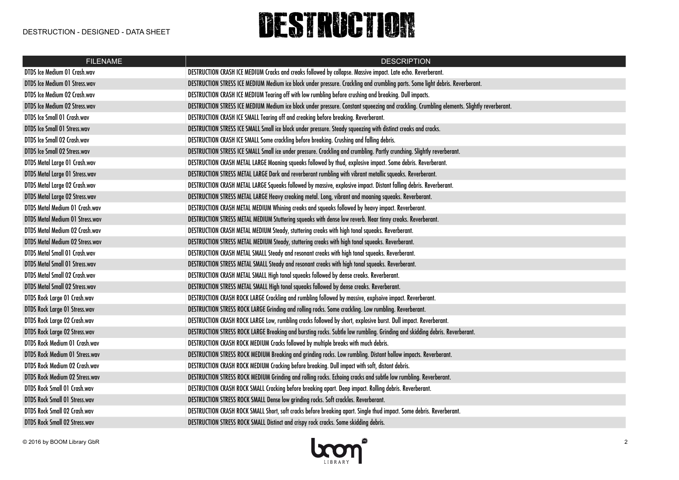## DESTRUCTION

| <b>FILENAME</b>                        | <b>DESCRIPTION</b>                                                                                                                         |
|----------------------------------------|--------------------------------------------------------------------------------------------------------------------------------------------|
| DTDS Ice Medium 01 Crash.wav           | DESTRUCTION CRASH ICE MEDIUM Cracks and creaks followed by collapse. Massive impact. Late echo. Reverberant.                               |
| <b>DTDS Ice Medium 01 Stress.wav</b>   | DESTRUCTION STRESS ICE MEDIUM Medium ice block under pressure. Crackling and crumbling parts. Some light debris. Reverberant.              |
| DTDS Ice Medium 02 Crash.wav           | DESTRUCTION CRASH ICE MEDIUM Tearing off with low rumbling before crushing and breaking. Dull impacts.                                     |
| DTDS Ice Medium 02 Stress.wav          | DESTRUCTION STRESS ICE MEDIUM Medium ice block under pressure. Constant squeezing and crackling. Crumbling elements. Slightly reverberant. |
| <b>DTDS Ice Small 01 Crash.wav</b>     | DESTRUCTION CRASH ICE SMALL Tearing off and creaking before breaking. Reverberant.                                                         |
| <b>DTDS Ice Small 01 Stress.wav</b>    | DESTRUCTION STRESS ICE SMALL Small ice block under pressure. Steady squeezing with distinct creaks and cracks.                             |
| DTDS Ice Small 02 Crash.wav            | DESTRUCTION CRASH ICE SMALL Some crackling before breaking. Crushing and falling debris.                                                   |
| <b>DTDS Ice Small 02 Stress.wav</b>    | DESTRUCTION STRESS ICE SMALL Small ice under pressure. Crackling and crumbling. Partly crunching. Slightly reverberant.                    |
| DTDS Metal Large 01 Crash.wav          | DESTRUCTION CRASH METAL LARGE Moaning squeaks followed by thud, explosive impact. Some debris. Reverberant.                                |
| <b>DTDS Metal Large 01 Stress.wav</b>  | DESTRUCTION STRESS METAL LARGE Dark and reverberant rumbling with vibrant metallic squeaks. Reverberant.                                   |
| DTDS Metal Large 02 Crash.wav          | DESTRUCTION CRASH METAL LARGE Squeaks followed by massive, explosive impact. Distant falling debris. Reverberant.                          |
| <b>DTDS Metal Large 02 Stress.wav</b>  | DESTRUCTION STRESS METAL LARGE Heavy creaking metal. Long, vibrant and moaning squeaks. Reverberant.                                       |
| DTDS Metal Medium 01 Crash.wav         | DESTRUCTION CRASH METAL MEDIUM Whining creaks and squeaks followed by heavy impact. Reverberant.                                           |
| <b>DTDS Metal Medium 01 Stress.wav</b> | DESTRUCTION STRESS METAL MEDIUM Stuttering squeaks with dense low reverb. Near tinny creaks. Reverberant.                                  |
| DTDS Metal Medium 02 Crash.wav         | DESTRUCTION CRASH METAL MEDIUM Steady, stuttering creaks with high tonal squeaks. Reverberant.                                             |
| DTDS Metal Medium 02 Stress.wav        | DESTRUCTION STRESS METAL MEDIUM Steady, stuttering creaks with high tonal squeaks. Reverberant.                                            |
| DTDS Metal Small 01 Crash.wav          | DESTRUCTION CRASH METAL SMALL Steady and resonant creaks with high tonal squeaks. Reverberant.                                             |
| <b>DTDS Metal Small 01 Stress.wav</b>  | DESTRUCTION STRESS METAL SMALL Steady and resonant creaks with high tonal squeaks. Reverberant.                                            |
| DTDS Metal Small 02 Crash.wav          | DESTRUCTION CRASH METAL SMALL High tonal squeaks followed by dense creaks. Reverberant.                                                    |
| <b>DTDS Metal Small 02 Stress.wav</b>  | DESTRUCTION STRESS METAL SMALL High tonal squeaks followed by dense creaks. Reverberant.                                                   |
| DTDS Rock Large 01 Crash.wav           | DESTRUCTION CRASH ROCK LARGE Crackling and rumbling followed by massive, explsoive impact. Reverberant.                                    |
| <b>DTDS Rock Large 01 Stress.wav</b>   | DESTRUCTION STRESS ROCK LARGE Grinding and rolling rocks. Some crackling. Low rumbling. Reverberant.                                       |
| DTDS Rock Large 02 Crash.wav           | DESTRUCTION CRASH ROCK LARGE Low, rumbling cracks followed by short, explosive burst. Dull impact. Reverberant.                            |
| DTDS Rock Large 02 Stress.wav          | DESTRUCTION STRESS ROCK LARGE Breaking and bursting rocks. Subtle low rumbling. Grinding and skidding debris. Reverberant.                 |
| DTDS Rock Medium 01 Crash.wav          | DESTRUCTION CRASH ROCK MEDIUM Cracks followed by multiple breaks with much debris.                                                         |
| DTDS Rock Medium 01 Stress.wav         | DESTRUCTION STRESS ROCK MEDIUM Breaking and grinding rocks. Low rumbling. Distant hollow impacts. Reverberant.                             |
| DTDS Rock Medium 02 Crash.wav          | DESTRUCTION CRASH ROCK MEDIUM Cracking before breaking. Dull impact with soft, distant debris.                                             |
| DTDS Rock Medium 02 Stress.wav         | DESTRUCTION STRESS ROCK MEDIUM Grinding and rolling rocks. Echoing cracks and subtle low rumbling. Reverberant.                            |
| DTDS Rock Small 01 Crash.wav           | DESTRUCTION CRASH ROCK SMALL Cracking before breaking apart. Deep impact. Rolling debris. Reverberant.                                     |
| <b>DTDS Rock Small 01 Stress.wav</b>   | DESTRUCTION STRESS ROCK SMALL Dense low grinding rocks. Soft crackles. Reverberant.                                                        |
| <b>DTDS Rock Small 02 Crash.wav</b>    | DESTRUCTION CRASH ROCK SMALL Short, soft cracks before breaking apart. Single thud impact. Some debris. Reverberant.                       |
| <b>DTDS Rock Small 02 Stress.wav</b>   | DESTRUCTION STRESS ROCK SMALL Distinct and crispy rock cracks. Some skidding debris.                                                       |